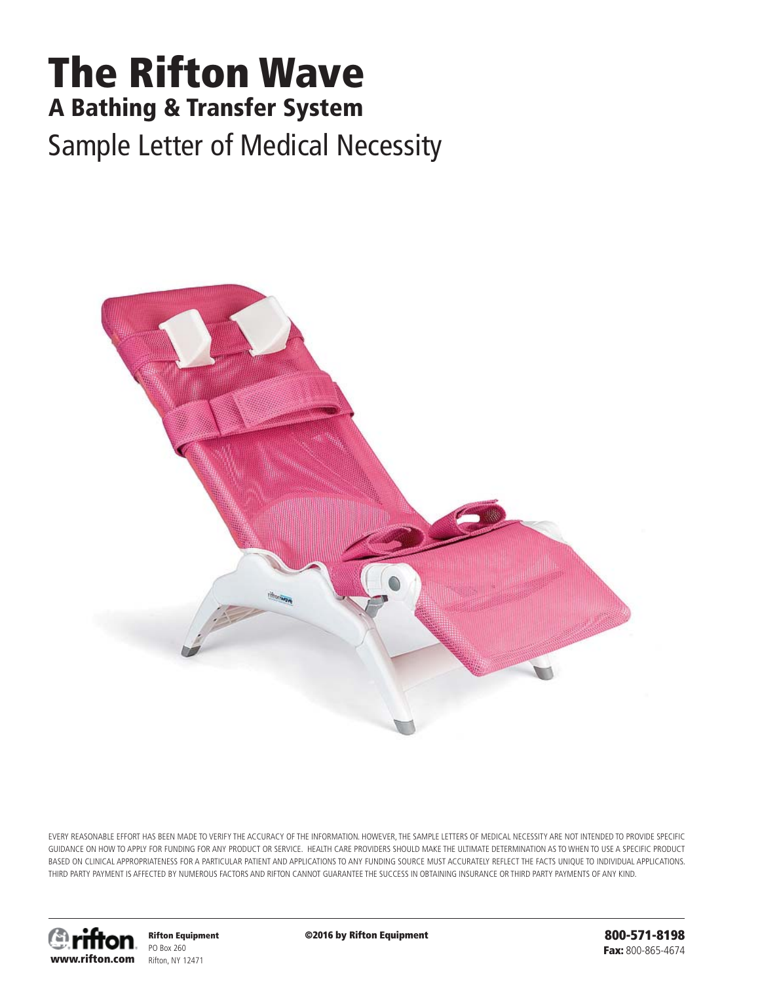## **The Rifton Wave A Bathing & Transfer System** Sample Letter of Medical Necessity



EVERY REASONABLE EFFORT HAS BEEN MADE TO VERIFY THE ACCURACY OF THE INFORMATION. HOWEVER, THE SAMPLE LETTERS OF MEDICAL NECESSITY ARE NOT INTENDED TO PROVIDE SPECIFIC GUIDANCE ON HOW TO APPLY FOR FUNDING FOR ANY PRODUCT OR SERVICE. HEALTH CARE PROVIDERS SHOULD MAKE THE ULTIMATE DETERMINATION AS TO WHEN TO USE A SPECIFIC PRODUCT BASED ON CLINICAL APPROPRIATENESS FOR A PARTICULAR PATIENT AND APPLICATIONS TO ANY FUNDING SOURCE MUST ACCURATELY REFLECT THE FACTS UNIQUE TO INDIVIDUAL APPLICATIONS. THIRD PARTY PAYMENT IS AFFECTED BY NUMEROUS FACTORS AND RIFTON CANNOT GUARANTEE THE SUCCESS IN OBTAINING INSURANCE OR THIRD PARTY PAYMENTS OF ANY KIND.



**Rifton Equipment** PO Box 260 Rifton, NY 12471

**©2016 by Rifton Equipment**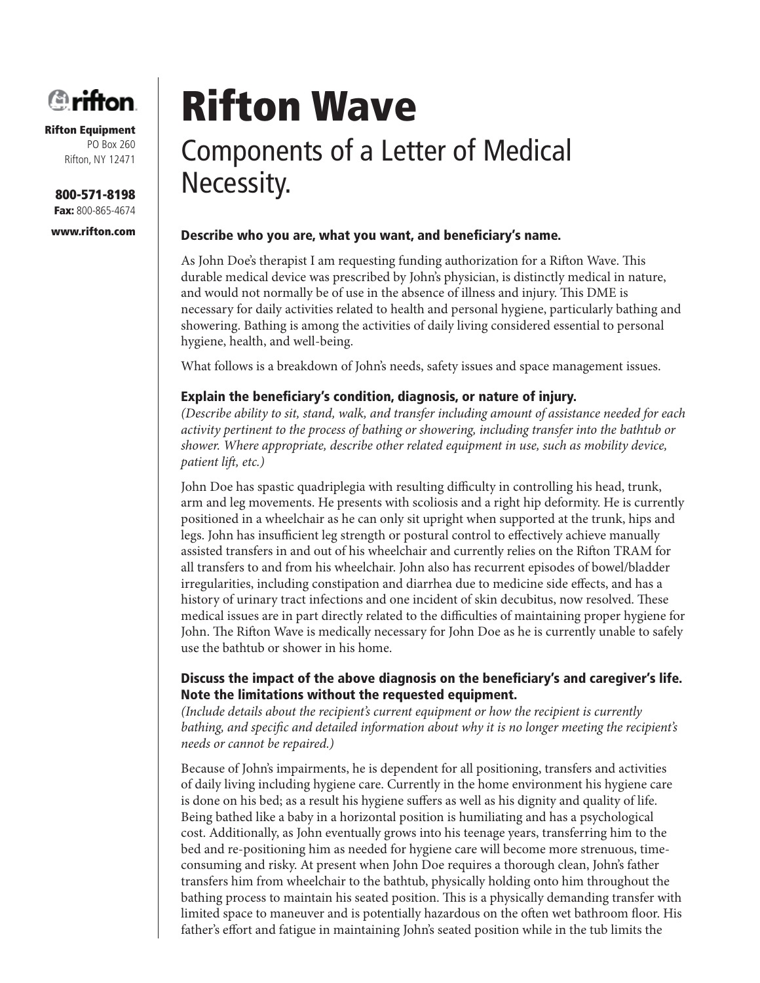

**800-571-8198 Fax:** 800-865-4674

**www.rifton.com**

# **Rifton Wave**

## Components of a Letter of Medical Necessity.

#### Describe who you are, what you want, and beneficiary's name.

As John Doe's therapist I am requesting funding authorization for a Rifton Wave. This durable medical device was prescribed by John's physician, is distinctly medical in nature, and would not normally be of use in the absence of illness and injury. This DME is necessary for daily activities related to health and personal hygiene, particularly bathing and showering. Bathing is among the activities of daily living considered essential to personal hygiene, health, and well-being.

What follows is a breakdown of John's needs, safety issues and space management issues.

#### **Explain the beneficiary's condition, diagnosis, or nature of injury.**

*(Describe ability to sit, stand, walk, and transfer including amount of assistance needed for each activity pertinent to the process of bathing or showering, including transfer into the bathtub or shower. Where appropriate, describe other related equipment in use, such as mobility device, patient lift, etc.)* 

John Doe has spastic quadriplegia with resulting difficulty in controlling his head, trunk, arm and leg movements. He presents with scoliosis and a right hip deformity. He is currently positioned in a wheelchair as he can only sit upright when supported at the trunk, hips and legs. John has insufficient leg strength or postural control to effectively achieve manually assisted transfers in and out of his wheelchair and currently relies on the Rifton TRAM for all transfers to and from his wheelchair. John also has recurrent episodes of bowel/bladder irregularities, including constipation and diarrhea due to medicine side effects, and has a history of urinary tract infections and one incident of skin decubitus, now resolved. These medical issues are in part directly related to the difficulties of maintaining proper hygiene for John. The Rifton Wave is medically necessary for John Doe as he is currently unable to safely use the bathtub or shower in his home.

#### **Discuss the impact of the above diagnosis on the beneficiary's and caregiver's life. Note the limitations without the requested equipment.**

*(Include details about the recipient's current equipment or how the recipient is currently bathing, and specific and detailed information about why it is no longer meeting the recipient's needs or cannot be repaired.)*

Because of John's impairments, he is dependent for all positioning, transfers and activities of daily living including hygiene care. Currently in the home environment his hygiene care is done on his bed; as a result his hygiene suffers as well as his dignity and quality of life. Being bathed like a baby in a horizontal position is humiliating and has a psychological cost. Additionally, as John eventually grows into his teenage years, transferring him to the bed and re-positioning him as needed for hygiene care will become more strenuous, timeconsuming and risky. At present when John Doe requires a thorough clean, John's father transfers him from wheelchair to the bathtub, physically holding onto him throughout the bathing process to maintain his seated position. This is a physically demanding transfer with limited space to maneuver and is potentially hazardous on the often wet bathroom floor. His father's effort and fatigue in maintaining John's seated position while in the tub limits the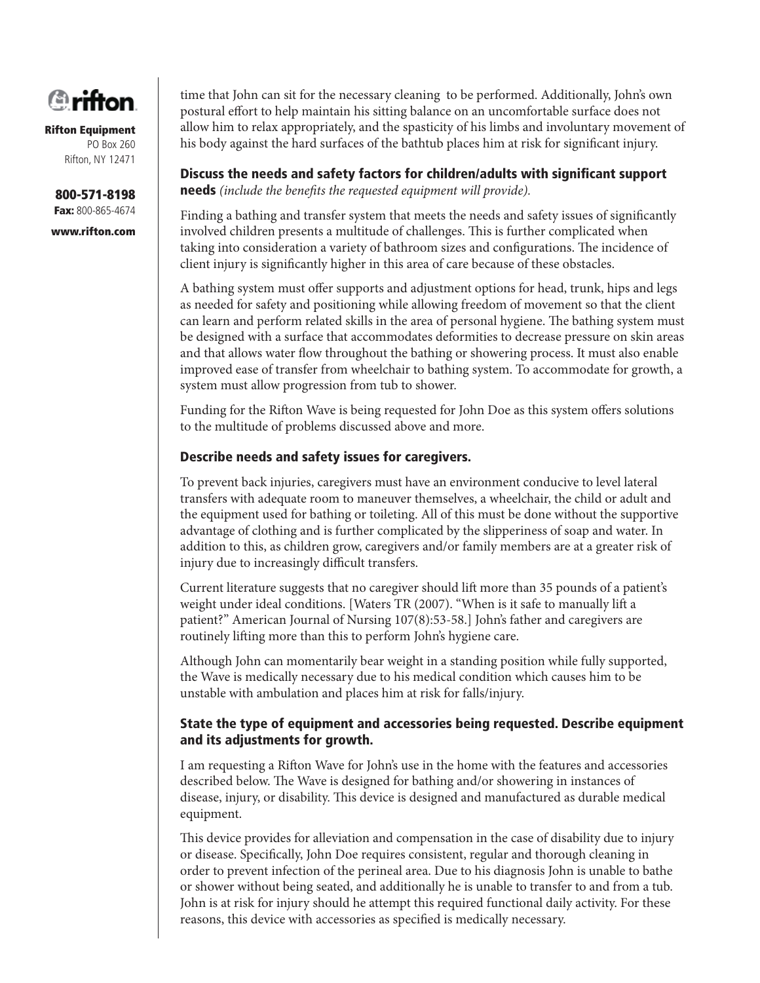

**800-571-8198 Fax:** 800-865-4674

**www.rifton.com**

time that John can sit for the necessary cleaning to be performed. Additionally, John's own postural effort to help maintain his sitting balance on an uncomfortable surface does not allow him to relax appropriately, and the spasticity of his limbs and involuntary movement of his body against the hard surfaces of the bathtub places him at risk for significant injury.

**Discuss the needs and safety factors for children/adults with significant support needs** (include the benefits the requested equipment will provide).

Finding a bathing and transfer system that meets the needs and safety issues of significantly involved children presents a multitude of challenges. This is further complicated when taking into consideration a variety of bathroom sizes and configurations. The incidence of client injury is significantly higher in this area of care because of these obstacles.

A bathing system must offer supports and adjustment options for head, trunk, hips and legs as needed for safety and positioning while allowing freedom of movement so that the client can learn and perform related skills in the area of personal hygiene. The bathing system must be designed with a surface that accommodates deformities to decrease pressure on skin areas and that allows water flow throughout the bathing or showering process. It must also enable improved ease of transfer from wheelchair to bathing system. To accommodate for growth, a system must allow progression from tub to shower.

Funding for the Rifton Wave is being requested for John Doe as this system offers solutions to the multitude of problems discussed above and more.

#### **Describe needs and safety issues for caregivers.**

To prevent back injuries, caregivers must have an environment conducive to level lateral transfers with adequate room to maneuver themselves, a wheelchair, the child or adult and the equipment used for bathing or toileting. All of this must be done without the supportive advantage of clothing and is further complicated by the slipperiness of soap and water. In addition to this, as children grow, caregivers and/or family members are at a greater risk of injury due to increasingly difficult transfers.

Current literature suggests that no caregiver should lift more than 35 pounds of a patient's weight under ideal conditions. [Waters TR (2007). "When is it safe to manually lift a patient?" American Journal of Nursing 107(8):53-58.] John's father and caregivers are routinely lifting more than this to perform John's hygiene care.

Although John can momentarily bear weight in a standing position while fully supported, the Wave is medically necessary due to his medical condition which causes him to be unstable with ambulation and places him at risk for falls/injury.

#### **State the type of equipment and accessories being requested. Describe equipment and its adjustments for growth.**

I am requesting a Rifton Wave for John's use in the home with the features and accessories described below. The Wave is designed for bathing and/or showering in instances of disease, injury, or disability. This device is designed and manufactured as durable medical equipment.

This device provides for alleviation and compensation in the case of disability due to injury or disease. Specifically, John Doe requires consistent, regular and thorough cleaning in order to prevent infection of the perineal area. Due to his diagnosis John is unable to bathe or shower without being seated, and additionally he is unable to transfer to and from a tub. John is at risk for injury should he attempt this required functional daily activity. For these reasons, this device with accessories as specified is medically necessary.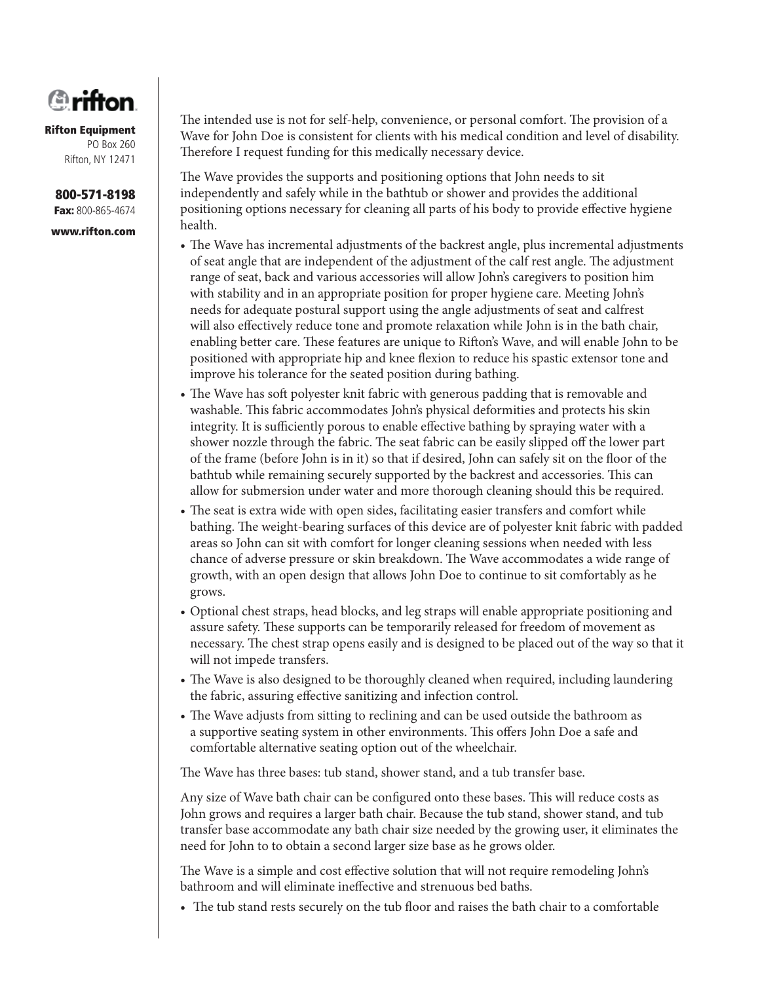

**800-571-8198 Fax:** 800-865-4674

**www.rifton.com**

The intended use is not for self-help, convenience, or personal comfort. The provision of a Wave for John Doe is consistent for clients with his medical condition and level of disability. Therefore I request funding for this medically necessary device.

The Wave provides the supports and positioning options that John needs to sit independently and safely while in the bathtub or shower and provides the additional positioning options necessary for cleaning all parts of his body to provide effective hygiene health.

- The Wave has incremental adjustments of the backrest angle, plus incremental adjustments of seat angle that are independent of the adjustment of the calf rest angle. The adjustment range of seat, back and various accessories will allow John's caregivers to position him with stability and in an appropriate position for proper hygiene care. Meeting John's needs for adequate postural support using the angle adjustments of seat and calfrest will also effectively reduce tone and promote relaxation while John is in the bath chair, enabling better care. These features are unique to Rifton's Wave, and will enable John to be positioned with appropriate hip and knee flexion to reduce his spastic extensor tone and improve his tolerance for the seated position during bathing.
- The Wave has soft polyester knit fabric with generous padding that is removable and washable. This fabric accommodates John's physical deformities and protects his skin integrity. It is sufficiently porous to enable effective bathing by spraying water with a shower nozzle through the fabric. The seat fabric can be easily slipped off the lower part of the frame (before John is in it) so that if desired, John can safely sit on the floor of the bathtub while remaining securely supported by the backrest and accessories. This can allow for submersion under water and more thorough cleaning should this be required.
- The seat is extra wide with open sides, facilitating easier transfers and comfort while bathing. The weight-bearing surfaces of this device are of polyester knit fabric with padded areas so John can sit with comfort for longer cleaning sessions when needed with less chance of adverse pressure or skin breakdown. The Wave accommodates a wide range of growth, with an open design that allows John Doe to continue to sit comfortably as he grows.
- Optional chest straps, head blocks, and leg straps will enable appropriate positioning and assure safety. These supports can be temporarily released for freedom of movement as necessary. The chest strap opens easily and is designed to be placed out of the way so that it will not impede transfers.
- The Wave is also designed to be thoroughly cleaned when required, including laundering the fabric, assuring effective sanitizing and infection control.
- The Wave adjusts from sitting to reclining and can be used outside the bathroom as a supportive seating system in other environments. This offers John Doe a safe and comfortable alternative seating option out of the wheelchair.

The Wave has three bases: tub stand, shower stand, and a tub transfer base.

Any size of Wave bath chair can be configured onto these bases. This will reduce costs as John grows and requires a larger bath chair. Because the tub stand, shower stand, and tub transfer base accommodate any bath chair size needed by the growing user, it eliminates the need for John to to obtain a second larger size base as he grows older.

The Wave is a simple and cost effective solution that will not require remodeling John's bathroom and will eliminate ineffective and strenuous bed baths.

• The tub stand rests securely on the tub floor and raises the bath chair to a comfortable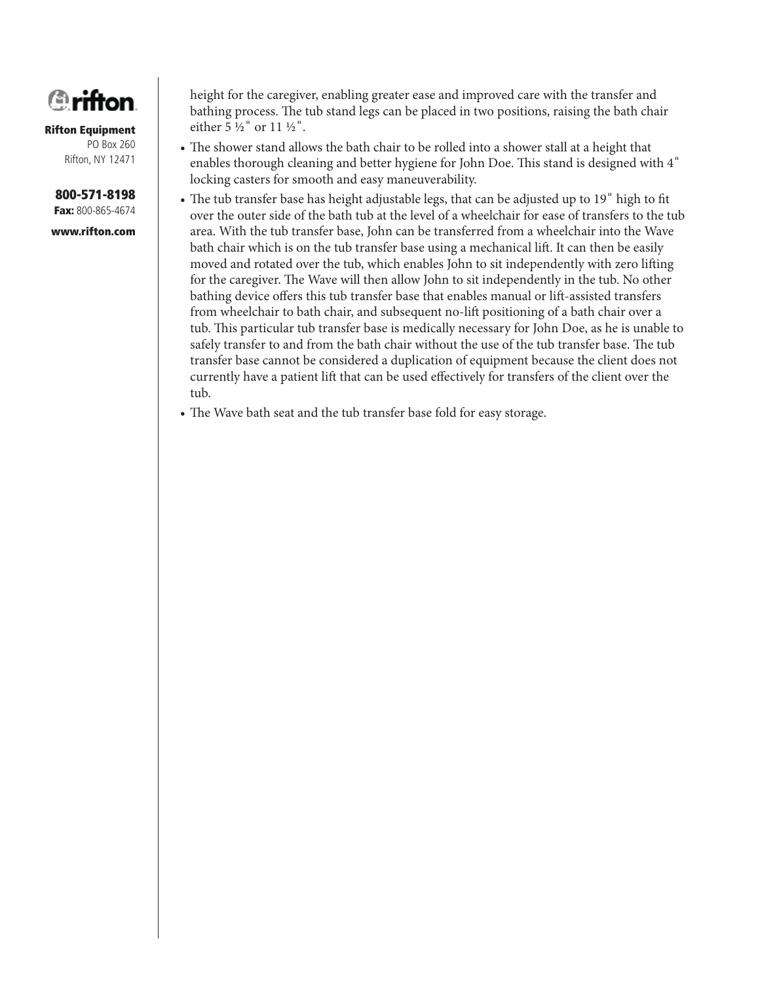

#### **800-571-8198 Fax:** 800-865-4674

**www.rifton.com**

height for the caregiver, enabling greater ease and improved care with the transfer and bathing process. The tub stand legs can be placed in two positions, raising the bath chair either  $5\frac{1}{2}$ " or  $11\frac{1}{2}$ ".

- The shower stand allows the bath chair to be rolled into a shower stall at a height that enables thorough cleaning and better hygiene for John Doe. This stand is designed with 4" locking casters for smooth and easy maneuverability.
- The tub transfer base has height adjustable legs, that can be adjusted up to 19" high to fit over the outer side of the bath tub at the level of a wheelchair for ease of transfers to the tub area. With the tub transfer base, John can be transferred from a wheelchair into the Wave bath chair which is on the tub transfer base using a mechanical lift . It can then be easily moved and rotated over the tub, which enables John to sit independently with zero lifting for the caregiver. The Wave will then allow John to sit independently in the tub. No other bathing device offers this tub transfer base that enables manual or lift-assisted transfers from wheelchair to bath chair, and subsequent no-lift positioning of a bath chair over a tub. This particular tub transfer base is medically necessary for John Doe, as he is unable to safely transfer to and from the bath chair without the use of the tub transfer base. The tub transfer base cannot be considered a duplication of equipment because the client does not currently have a patient lift that can be used effectively for transfers of the client over the tub.
- The Wave bath seat and the tub transfer base fold for easy storage.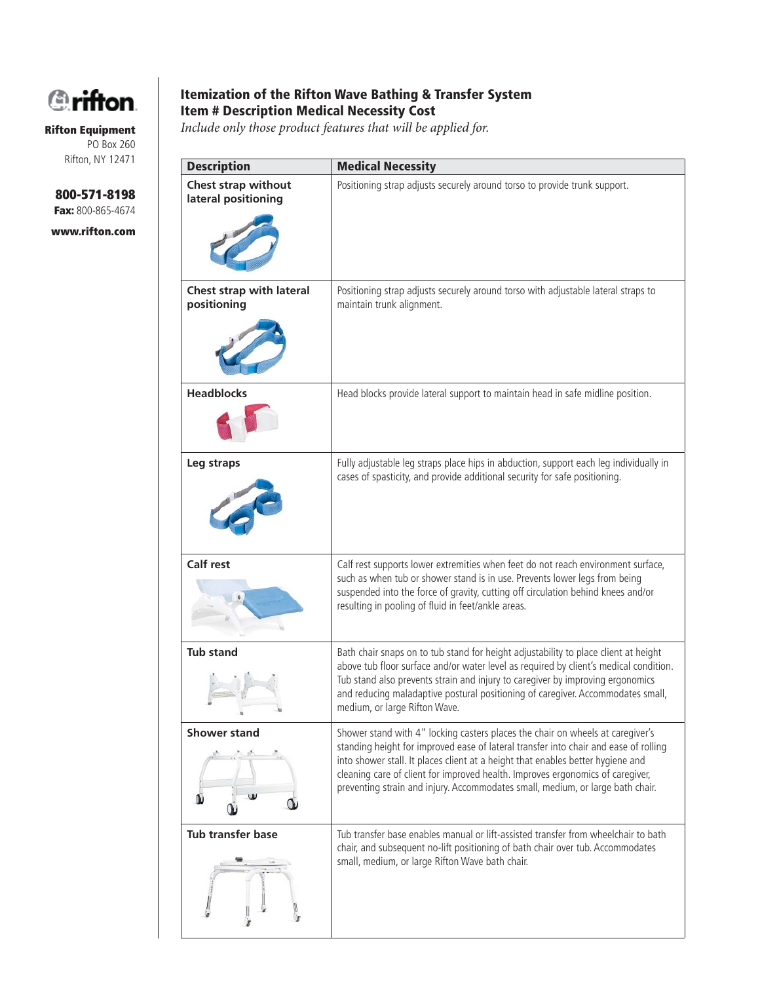

**800-571-8198 Fax:** 800-865-4674

**www.rifton.com**

#### **Itemization of the Rifton Wave Bathing & Transfer System Item # Description Medical Necessity Cost**

*Include only those product features that will be applied for.*

| <b>Description</b>                         | <b>Medical Necessity</b>                                                                                                                                                                                                                                                                                                                                                                                                      |
|--------------------------------------------|-------------------------------------------------------------------------------------------------------------------------------------------------------------------------------------------------------------------------------------------------------------------------------------------------------------------------------------------------------------------------------------------------------------------------------|
| Chest strap without<br>lateral positioning | Positioning strap adjusts securely around torso to provide trunk support.                                                                                                                                                                                                                                                                                                                                                     |
| Chest strap with lateral<br>positioning    | Positioning strap adjusts securely around torso with adjustable lateral straps to<br>maintain trunk alignment.                                                                                                                                                                                                                                                                                                                |
| <b>Headblocks</b>                          | Head blocks provide lateral support to maintain head in safe midline position.                                                                                                                                                                                                                                                                                                                                                |
| Leg straps                                 | Fully adjustable leg straps place hips in abduction, support each leg individually in<br>cases of spasticity, and provide additional security for safe positioning.                                                                                                                                                                                                                                                           |
| <b>Calf rest</b>                           | Calf rest supports lower extremities when feet do not reach environment surface,<br>such as when tub or shower stand is in use. Prevents lower legs from being<br>suspended into the force of gravity, cutting off circulation behind knees and/or<br>resulting in pooling of fluid in feet/ankle areas.                                                                                                                      |
| <b>Tub stand</b>                           | Bath chair snaps on to tub stand for height adjustability to place client at height<br>above tub floor surface and/or water level as required by client's medical condition.<br>Tub stand also prevents strain and injury to caregiver by improving ergonomics<br>and reducing maladaptive postural positioning of caregiver. Accommodates small,<br>medium, or large Rifton Wave.                                            |
| <b>Shower stand</b>                        | Shower stand with 4" locking casters places the chair on wheels at caregiver's<br>standing height for improved ease of lateral transfer into chair and ease of rolling<br>into shower stall. It places client at a height that enables better hygiene and<br>cleaning care of client for improved health. Improves ergonomics of caregiver,<br>preventing strain and injury. Accommodates small, medium, or large bath chair. |
| Tub transfer base                          | Tub transfer base enables manual or lift-assisted transfer from wheelchair to bath<br>chair, and subsequent no-lift positioning of bath chair over tub. Accommodates<br>small, medium, or large Rifton Wave bath chair.                                                                                                                                                                                                       |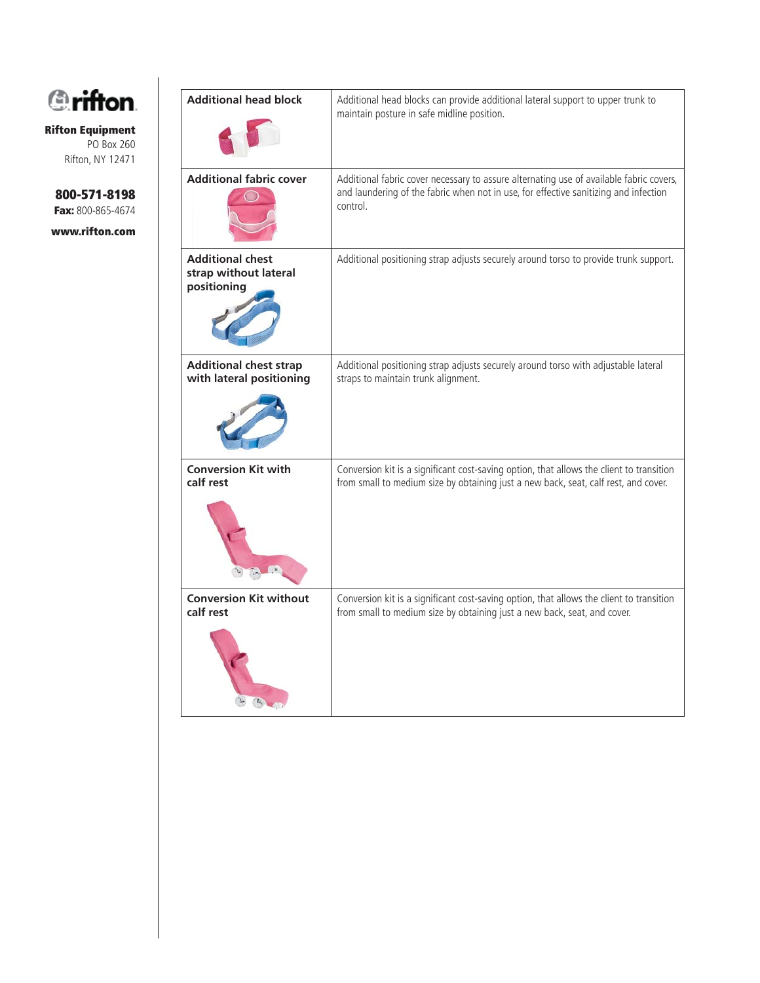

> **800-571-8198 Fax:** 800-865-4674

**www.rifton.com**

| <b>Additional head block</b>                                    | Additional head blocks can provide additional lateral support to upper trunk to<br>maintain posture in safe midline position.                                                               |
|-----------------------------------------------------------------|---------------------------------------------------------------------------------------------------------------------------------------------------------------------------------------------|
| <b>Additional fabric cover</b>                                  | Additional fabric cover necessary to assure alternating use of available fabric covers,<br>and laundering of the fabric when not in use, for effective sanitizing and infection<br>control. |
| <b>Additional chest</b><br>strap without lateral<br>positioning | Additional positioning strap adjusts securely around torso to provide trunk support.                                                                                                        |
| <b>Additional chest strap</b>                                   | Additional positioning strap adjusts securely around torso with adjustable lateral                                                                                                          |
| with lateral positioning                                        | straps to maintain trunk alignment.                                                                                                                                                         |
| <b>Conversion Kit with</b>                                      | Conversion kit is a significant cost-saving option, that allows the client to transition                                                                                                    |
| calf rest                                                       | from small to medium size by obtaining just a new back, seat, calf rest, and cover.                                                                                                         |
| <b>Conversion Kit without</b>                                   | Conversion kit is a significant cost-saving option, that allows the client to transition                                                                                                    |
| calf rest                                                       | from small to medium size by obtaining just a new back, seat, and cover.                                                                                                                    |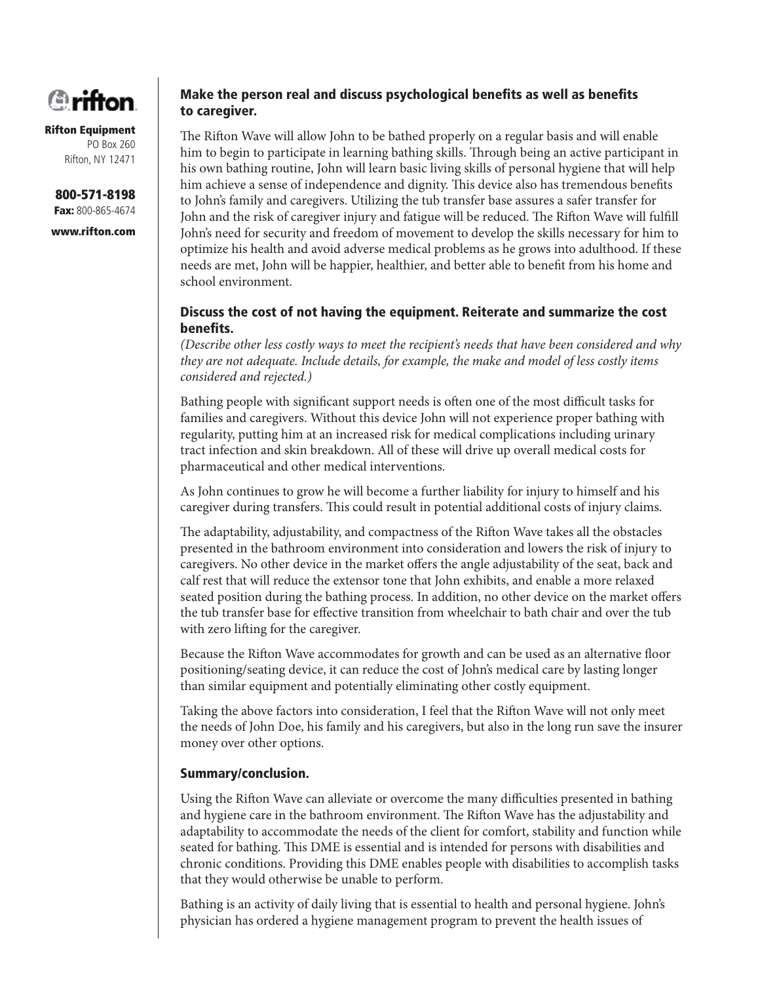

#### **Rifton Equipment** PO Box 260

Rifton, NY 12471

**800-571-8198 Fax:** 800-865-4674

**www.rifton.com**

#### **Make the person real and discuss psychological benefits as well as benefits to caregiver.**

The Rifton Wave will allow John to be bathed properly on a regular basis and will enable him to begin to participate in learning bathing skills. Through being an active participant in his own bathing routine, John will learn basic living skills of personal hygiene that will help him achieve a sense of independence and dignity. This device also has tremendous benefits to John's family and caregivers. Utilizing the tub transfer base assures a safer transfer for John and the risk of caregiver injury and fatigue will be reduced. The Rifton Wave will fulfill John's need for security and freedom of movement to develop the skills necessary for him to optimize his health and avoid adverse medical problems as he grows into adulthood. If these needs are met, John will be happier, healthier, and better able to benefit from his home and school environment.

#### **Discuss the cost of not having the equipment. Reiterate and summarize the cost**  benefits.

*(Describe other less costly ways to meet the recipient's needs that have been considered and why they are not adequate. Include details, for example, the make and model of less costly items considered and rejected.)*

Bathing people with significant support needs is often one of the most difficult tasks for families and caregivers. Without this device John will not experience proper bathing with regularity, putting him at an increased risk for medical complications including urinary tract infection and skin breakdown. All of these will drive up overall medical costs for pharmaceutical and other medical interventions.

As John continues to grow he will become a further liability for injury to himself and his caregiver during transfers. This could result in potential additional costs of injury claims.

The adaptability, adjustability, and compactness of the Rifton Wave takes all the obstacles presented in the bathroom environment into consideration and lowers the risk of injury to caregivers. No other device in the market offers the angle adjustability of the seat, back and calf rest that will reduce the extensor tone that John exhibits, and enable a more relaxed seated position during the bathing process. In addition, no other device on the market offers the tub transfer base for effective transition from wheelchair to bath chair and over the tub with zero lifting for the caregiver.

Because the Rifton Wave accommodates for growth and can be used as an alternative floor positioning/seating device, it can reduce the cost of John's medical care by lasting longer than similar equipment and potentially eliminating other costly equipment.

Taking the above factors into consideration, I feel that the Rifton Wave will not only meet the needs of John Doe, his family and his caregivers, but also in the long run save the insurer money over other options.

#### **Summary/conclusion.**

Using the Rifton Wave can alleviate or overcome the many difficulties presented in bathing and hygiene care in the bathroom environment. The Rifton Wave has the adjustability and adaptability to accommodate the needs of the client for comfort, stability and function while seated for bathing. This DME is essential and is intended for persons with disabilities and chronic conditions. Providing this DME enables people with disabilities to accomplish tasks that they would otherwise be unable to perform.

Bathing is an activity of daily living that is essential to health and personal hygiene. John's physician has ordered a hygiene management program to prevent the health issues of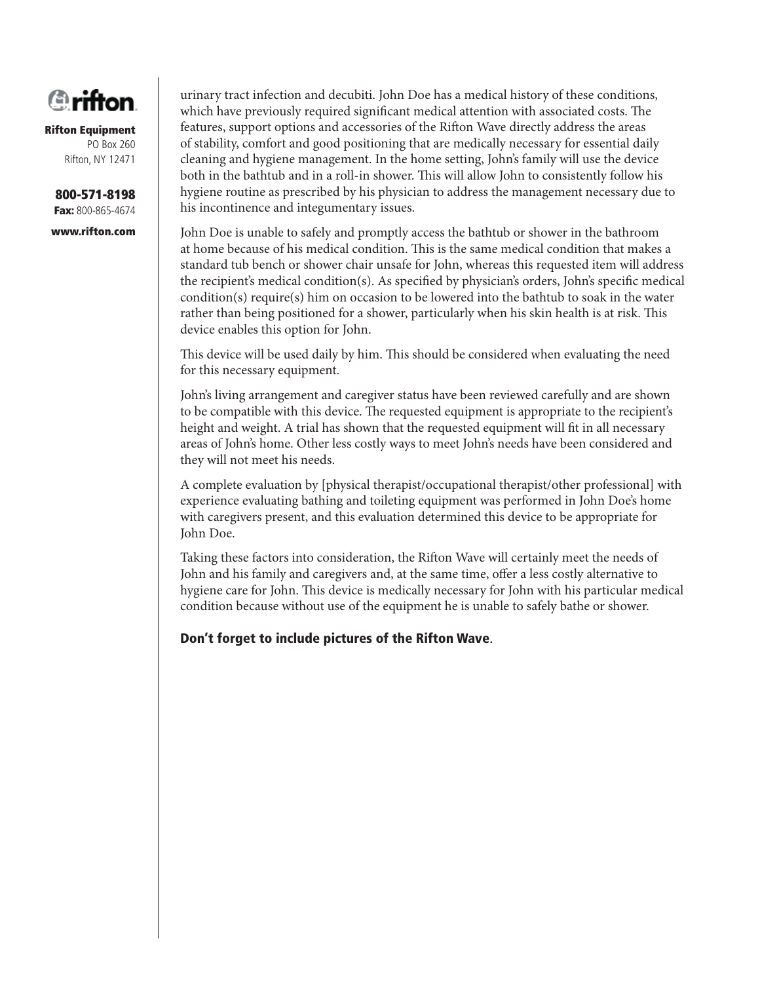

**800-571-8198 Fax:** 800-865-4674

**www.rifton.com**

urinary tract infection and decubiti. John Doe has a medical history of these conditions, which have previously required significant medical attention with associated costs. The features, support options and accessories of the Rifton Wave directly address the areas of stability, comfort and good positioning that are medically necessary for essential daily cleaning and hygiene management. In the home setting, John's family will use the device both in the bathtub and in a roll-in shower. This will allow John to consistently follow his hygiene routine as prescribed by his physician to address the management necessary due to his incontinence and integumentary issues.

John Doe is unable to safely and promptly access the bathtub or shower in the bathroom at home because of his medical condition. This is the same medical condition that makes a standard tub bench or shower chair unsafe for John, whereas this requested item will address the recipient's medical condition(s). As specified by physician's orders, John's specific medical condition(s) require(s) him on occasion to be lowered into the bathtub to soak in the water rather than being positioned for a shower, particularly when his skin health is at risk. This device enables this option for John.

This device will be used daily by him. This should be considered when evaluating the need for this necessary equipment.

John's living arrangement and caregiver status have been reviewed carefully and are shown to be compatible with this device. The requested equipment is appropriate to the recipient's height and weight. A trial has shown that the requested equipment will fit in all necessary areas of John's home. Other less costly ways to meet John's needs have been considered and they will not meet his needs.

A complete evaluation by [physical therapist/occupational therapist/other professional] with experience evaluating bathing and toileting equipment was performed in John Doe's home with caregivers present, and this evaluation determined this device to be appropriate for John Doe.

Taking these factors into consideration, the Rifton Wave will certainly meet the needs of John and his family and caregivers and, at the same time, offer a less costly alternative to hygiene care for John. This device is medically necessary for John with his particular medical condition because without use of the equipment he is unable to safely bathe or shower.

**Don't forget to include pictures of the Rifton Wave**.